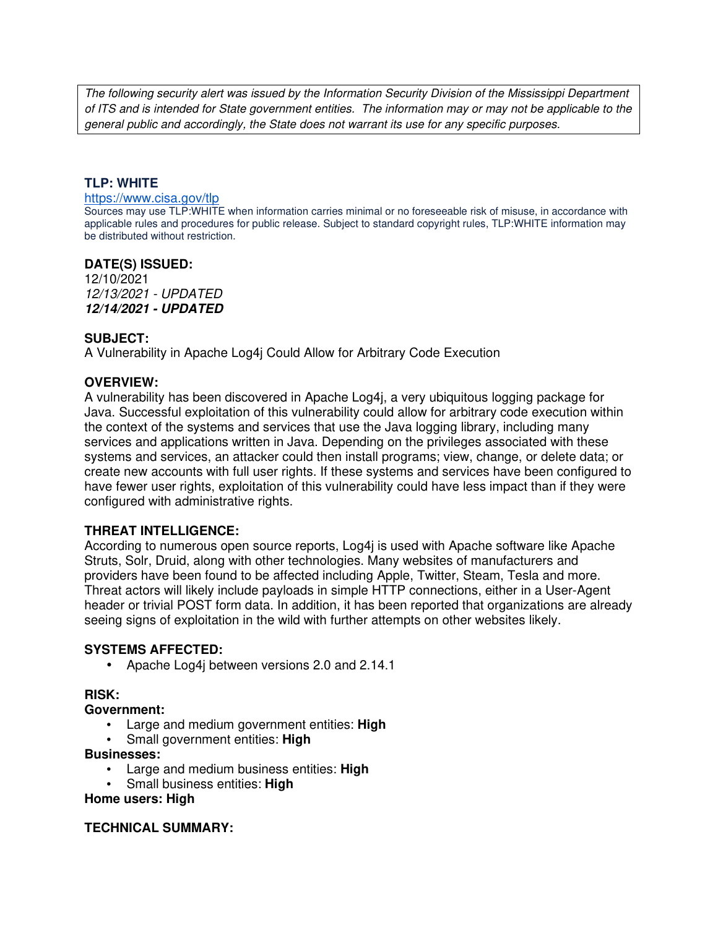The following security alert was issued by the Information Security Division of the Mississippi Department of ITS and is intended for State government entities. The information may or may not be applicable to the general public and accordingly, the State does not warrant its use for any specific purposes.

### **TLP: WHITE**

#### https://www.cisa.gov/tlp

Sources may use TLP:WHITE when information carries minimal or no foreseeable risk of misuse, in accordance with applicable rules and procedures for public release. Subject to standard copyright rules, TLP:WHITE information may be distributed without restriction.

### **DATE(S) ISSUED:**

12/10/2021 12/13/2021 - UPDATED *12/14/2021 - UPDATED*

### **SUBJECT:**

A Vulnerability in Apache Log4j Could Allow for Arbitrary Code Execution

### **OVERVIEW:**

A vulnerability has been discovered in Apache Log4j, a very ubiquitous logging package for Java. Successful exploitation of this vulnerability could allow for arbitrary code execution within the context of the systems and services that use the Java logging library, including many services and applications written in Java. Depending on the privileges associated with these systems and services, an attacker could then install programs; view, change, or delete data; or create new accounts with full user rights. If these systems and services have been configured to have fewer user rights, exploitation of this vulnerability could have less impact than if they were configured with administrative rights.

### **THREAT INTELLIGENCE:**

According to numerous open source reports, Log4j is used with Apache software like Apache Struts, Solr, Druid, along with other technologies. Many websites of manufacturers and providers have been found to be affected including Apple, Twitter, Steam, Tesla and more. Threat actors will likely include payloads in simple HTTP connections, either in a User-Agent header or trivial POST form data. In addition, it has been reported that organizations are already seeing signs of exploitation in the wild with further attempts on other websites likely.

#### **SYSTEMS AFFECTED:**

• Apache Log4j between versions 2.0 and 2.14.1

#### **RISK:**

#### **Government:**

- Large and medium government entities: **High**
- Small government entities: **High**

#### **Businesses:**

- Large and medium business entities: **High**
- Small business entities: **High**

#### **Home users: High**

### **TECHNICAL SUMMARY:**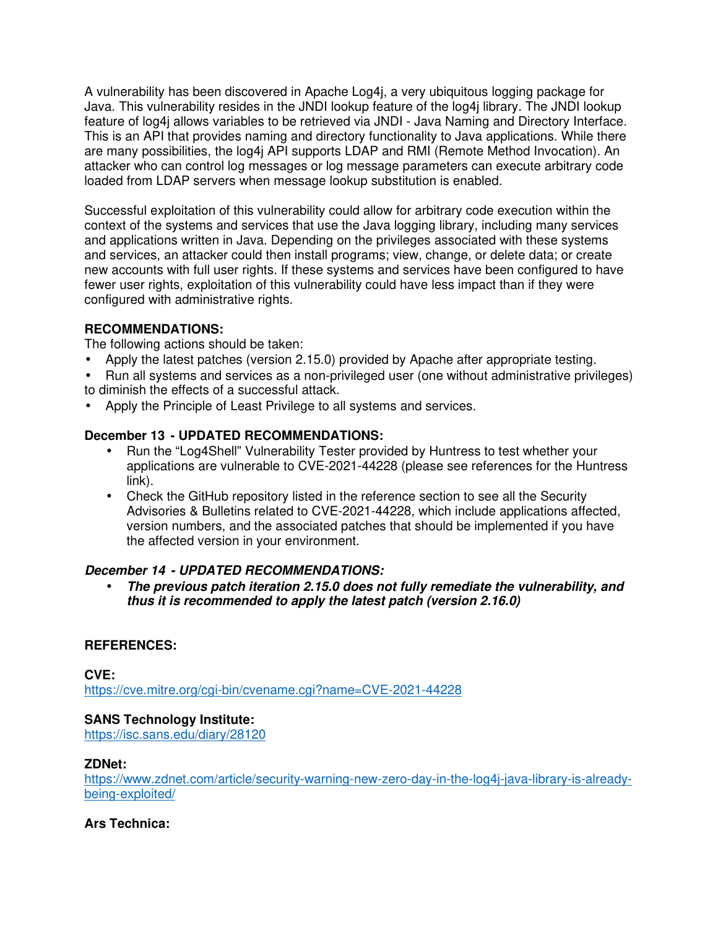A vulnerability has been discovered in Apache Log4j, a very ubiquitous logging package for Java. This vulnerability resides in the JNDI lookup feature of the log4j library. The JNDI lookup feature of log4j allows variables to be retrieved via JNDI - Java Naming and Directory Interface. This is an API that provides naming and directory functionality to Java applications. While there are many possibilities, the log4j API supports LDAP and RMI (Remote Method Invocation). An attacker who can control log messages or log message parameters can execute arbitrary code loaded from LDAP servers when message lookup substitution is enabled.

Successful exploitation of this vulnerability could allow for arbitrary code execution within the context of the systems and services that use the Java logging library, including many services and applications written in Java. Depending on the privileges associated with these systems and services, an attacker could then install programs; view, change, or delete data; or create new accounts with full user rights. If these systems and services have been configured to have fewer user rights, exploitation of this vulnerability could have less impact than if they were configured with administrative rights.

## **RECOMMENDATIONS:**

The following actions should be taken:

- Apply the latest patches (version 2.15.0) provided by Apache after appropriate testing.
- Run all systems and services as a non-privileged user (one without administrative privileges) to diminish the effects of a successful attack.
- Apply the Principle of Least Privilege to all systems and services.

# **December 13 - UPDATED RECOMMENDATIONS:**

- Run the "Log4Shell" Vulnerability Tester provided by Huntress to test whether your applications are vulnerable to CVE-2021-44228 (please see references for the Huntress link).
- Check the GitHub repository listed in the reference section to see all the Security Advisories & Bulletins related to CVE-2021-44228, which include applications affected, version numbers, and the associated patches that should be implemented if you have the affected version in your environment.

# *December 14 - UPDATED RECOMMENDATIONS:*

• *The previous patch iteration 2.15.0 does not fully remediate the vulnerability, and thus it is recommended to apply the latest patch (version 2.16.0)*

### **REFERENCES:**

**CVE:** https://cve.mitre.org/cgi-bin/cvename.cgi?name=CVE-2021-44228

# **SANS Technology Institute:**

https://isc.sans.edu/diary/28120

### **ZDNet:**

https://www.zdnet.com/article/security-warning-new-zero-day-in-the-log4j-java-library-is-alreadybeing-exploited/

### **Ars Technica:**